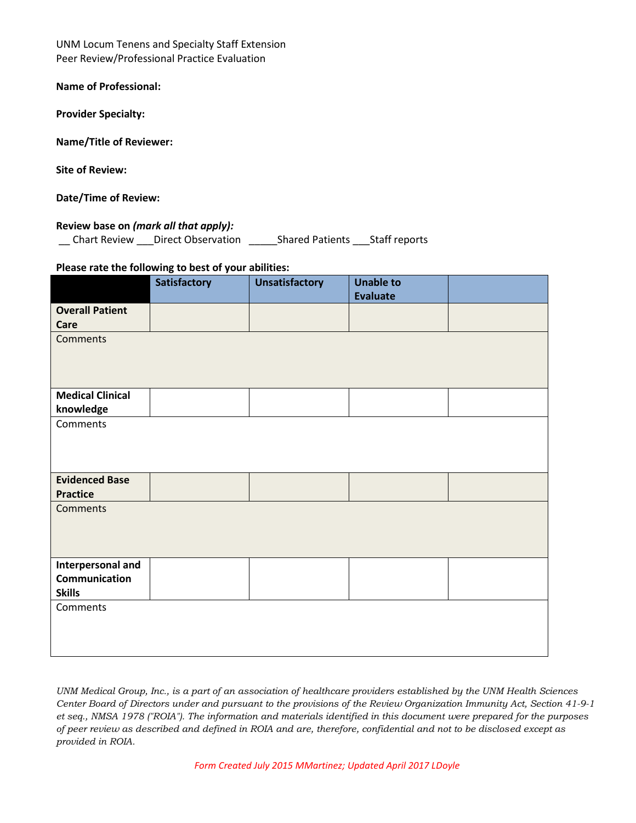UNM Locum Tenens and Specialty Staff Extension Peer Review/Professional Practice Evaluation

**Name of Professional:** 

**Provider Specialty:**

**Name/Title of Reviewer:** 

**Site of Review:** 

**Date/Time of Review:**

## **Review base on** *(mark all that apply):*

\_\_ Chart Review \_\_\_Direct Observation \_\_\_\_\_Shared Patients \_\_\_Staff reports

## **Please rate the following to best of your abilities:**

|                         | <b>Satisfactory</b> | <b>Unsatisfactory</b> | <b>Unable to</b><br><b>Evaluate</b> |  |
|-------------------------|---------------------|-----------------------|-------------------------------------|--|
| <b>Overall Patient</b>  |                     |                       |                                     |  |
| Care                    |                     |                       |                                     |  |
| <b>Comments</b>         |                     |                       |                                     |  |
|                         |                     |                       |                                     |  |
|                         |                     |                       |                                     |  |
| <b>Medical Clinical</b> |                     |                       |                                     |  |
| knowledge               |                     |                       |                                     |  |
| Comments                |                     |                       |                                     |  |
|                         |                     |                       |                                     |  |
|                         |                     |                       |                                     |  |
|                         |                     |                       |                                     |  |
| <b>Evidenced Base</b>   |                     |                       |                                     |  |
| <b>Practice</b>         |                     |                       |                                     |  |
| Comments                |                     |                       |                                     |  |
|                         |                     |                       |                                     |  |
|                         |                     |                       |                                     |  |
| Interpersonal and       |                     |                       |                                     |  |
| Communication           |                     |                       |                                     |  |
| <b>Skills</b>           |                     |                       |                                     |  |
| Comments                |                     |                       |                                     |  |
|                         |                     |                       |                                     |  |
|                         |                     |                       |                                     |  |
|                         |                     |                       |                                     |  |

*UNM Medical Group, Inc., is a part of an association of healthcare providers established by the UNM Health Sciences Center Board of Directors under and pursuant to the provisions of the Review Organization Immunity Act, Section 41-9-1 et seq., NMSA 1978 ("ROIA"). The information and materials identified in this document were prepared for the purposes of peer review as described and defined in ROIA and are, therefore, confidential and not to be disclosed except as provided in ROIA.*

*Form Created July 2015 MMartinez; Updated April 2017 LDoyle*